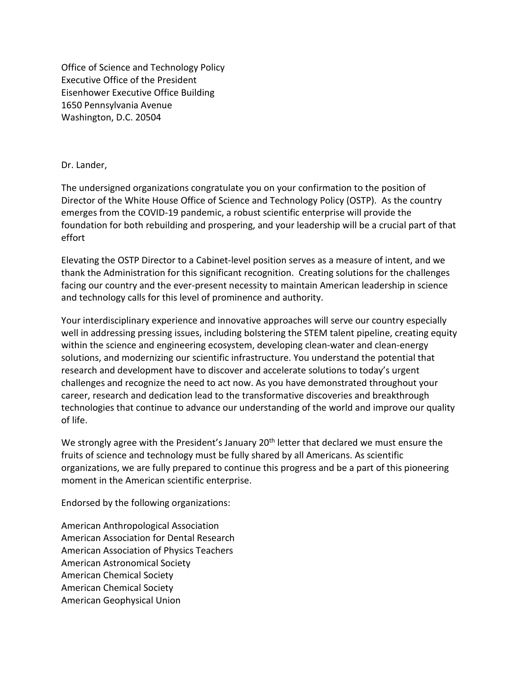Office of Science and Technology Policy Executive Office of the President Eisenhower Executive Office Building 1650 Pennsylvania Avenue Washington, D.C. 20504

## Dr. Lander,

The undersigned organizations congratulate you on your confirmation to the position of Director of the White House Office of Science and Technology Policy (OSTP). As the country emerges from the COVID-19 pandemic, a robust scientific enterprise will provide the foundation for both rebuilding and prospering, and your leadership will be a crucial part of that effort

Elevating the OSTP Director to a Cabinet-level position serves as a measure of intent, and we thank the Administration for this significant recognition. Creating solutions for the challenges facing our country and the ever-present necessity to maintain American leadership in science and technology calls for this level of prominence and authority.

Your interdisciplinary experience and innovative approaches will serve our country especially well in addressing pressing issues, including bolstering the STEM talent pipeline, creating equity within the science and engineering ecosystem, developing clean-water and clean-energy solutions, and modernizing our scientific infrastructure. You understand the potential that research and development have to discover and accelerate solutions to today's urgent challenges and recognize the need to act now. As you have demonstrated throughout your career, research and dedication lead to the transformative discoveries and breakthrough technologies that continue to advance our understanding of the world and improve our quality of life.

We strongly agree with the President's January 20<sup>th</sup> letter that declared we must ensure the fruits of science and technology must be fully shared by all Americans. As scientific organizations, we are fully prepared to continue this progress and be a part of this pioneering moment in the American scientific enterprise.

Endorsed by the following organizations:

American Anthropological Association American Association for Dental Research American Association of Physics Teachers American Astronomical Society American Chemical Society American Chemical Society American Geophysical Union